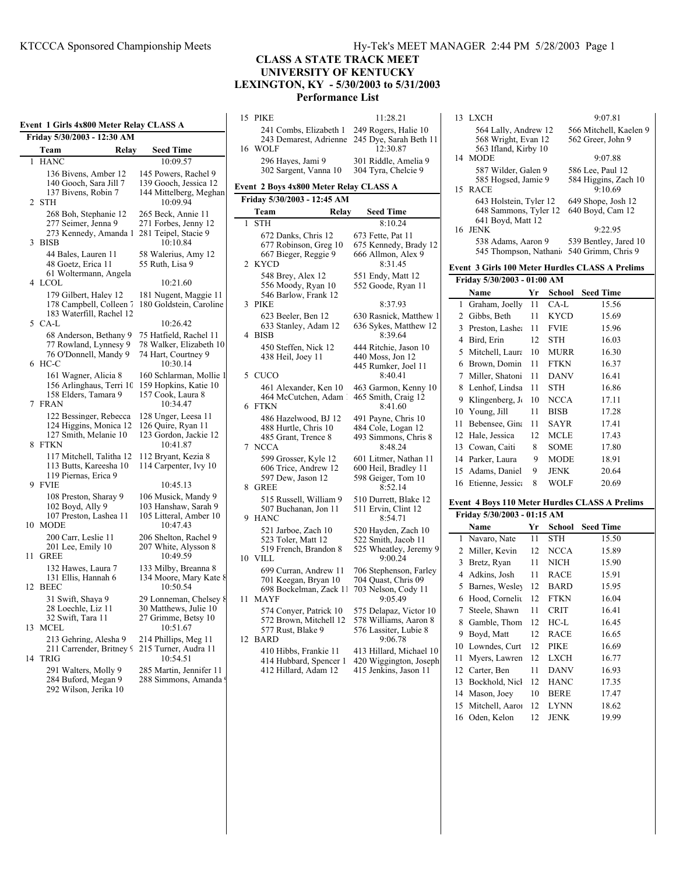|    | Event  1 Girls 4x800 Meter Relay CLASS A                                                  |                                                                                      |
|----|-------------------------------------------------------------------------------------------|--------------------------------------------------------------------------------------|
|    | Friday 5/30/2003 - 12:30 AM                                                               |                                                                                      |
|    | Team<br>Relay                                                                             | <b>Seed Time</b>                                                                     |
| 1  | <b>HANC</b>                                                                               | 10:09.57                                                                             |
| 2  | 136 Bivens, Amber 12<br>140 Gooch, Sara Jill 7<br>137 Bivens, Robin 7<br><b>STH</b>       | 145 Powers, Rachel 9<br>139 Gooch, Jessica 12<br>144 Mittelberg, Meghan<br>10:09.94  |
| 3  | 268 Boh, Stephanie 12<br>277 Seimer, Jenna 9<br>273 Kennedy, Amanda 1<br><b>BISB</b>      | 265 Beck, Annie 11<br>271 Forbes, Jenny 12<br>281 Teipel, Stacie 9<br>10:10.84       |
|    | 44 Bales, Lauren 11<br>48 Goetz, Erica 11<br>61 Woltermann, Angela                        | 58 Walerius, Amy 12<br>55 Ruth, Lisa 9                                               |
| 4  | <b>LCOL</b>                                                                               | 10:21.60                                                                             |
|    | 179 Gilbert, Haley 12<br>178 Campbell, Colleen 7<br>183 Waterfill, Rachel 12              | 181 Nugent, Maggie 11<br>180 Goldstein, Caroline                                     |
| 5  | CA-L                                                                                      | 10:26.42                                                                             |
| 6  | 68 Anderson, Bethany 9<br>77 Rowland, Lynnesy 9<br>76 O'Donnell, Mandy 9<br>HC-C          | 75 Hatfield, Rachel 11<br>78 Walker, Elizabeth 10<br>74 Hart, Courtney 9<br>10:30.14 |
| 7  | 161 Wagner, Alicia 8<br>156 Arlinghaus, Terri 10<br>158 Elders, Tamara 9<br><b>FRAN</b>   | 160 Schlarman, Mollie 1<br>159 Hopkins, Katie 10<br>157 Cook, Laura 8<br>10:34.47    |
| 8  | 122 Bessinger, Rebecca<br>124 Higgins, Monica 12<br>127 Smith, Melanie 10<br><b>FTKN</b>  | 128 Unger, Leesa 11<br>126 Quire, Ryan 11<br>123 Gordon, Jackie 12<br>10:41.87       |
| 9  | 117 Mitchell, Talitha 12<br>113 Butts, Kareesha 10<br>119 Piernas, Erica 9<br><b>FVIE</b> | 112 Bryant, Kezia 8<br>114 Carpenter, Ivy 10<br>10:45.13                             |
|    | 108 Preston, Sharay 9<br>102 Boyd, Ally 9<br>107 Preston, Lashea 11<br>10 MODE            | 106 Musick, Mandy 9<br>103 Hanshaw, Sarah 9<br>105 Litteral, Amber 10<br>10:47.43    |
| 11 | 200 Carr, Leslie 11<br>201 Lee, Emily 10<br><b>GREE</b>                                   | 206 Shelton, Rachel 9<br>207 White, Alysson 8<br>10:49.59                            |
| 12 | 132 Hawes, Laura 7<br>131 Ellis, Hannah 6<br><b>BEEC</b>                                  | 133 Milby, Breanna 8<br>134 Moore, Mary Kate 8<br>10:50.54                           |
| 13 | 31 Swift, Shaya 9<br>28 Loechle, Liz 11<br>32 Swift, Tara 11<br><b>MCEL</b>               | 29 Lonneman, Chelsey {<br>30 Matthews, Julie 10<br>27 Grimme, Betsy 10<br>10:51.67   |
| 14 | 213 Gehring, Alesha 9<br>211 Carrender, Britney 9<br><b>TRIG</b>                          | 214 Phillips, Meg 11<br>215 Turner, Audra 11<br>10:54.51                             |
|    | 291 Walters, Molly 9<br>284 Buford, Megan 9                                               | 285 Martin, Jennifer 11<br>288 Simmons, Amanda!                                      |

292 Wilson, Jerika 10

# **CLASS A STATE TRACK MEET UNIVERSITY OF KENTUCKY LEXINGTON, KY - 5/30/2003 to 5/31/2003 Performance List**

### 15 PIKE 11:28.21 241 Combs, Elizabeth 1 249 Rogers, Halie 10 243 Demarest, Adrienne 245 Dye, Sarah Beth 11 16 WOLF 296 Hayes, Jami 9 301 Riddle, Amelia 9 302 Sargent, Vanna 10 304 Tyra, Chelcie 9 **Event 2 Boys 4x800 Meter Relay CLASS A Friday 5/30/2003 - 12:45 AM Seed Time Team Relay** 1 STH 8:10.24 672 Danks, Chris 12 673 Fette, Pat 11<br>677 Robinson, Greg 10 675 Kennedy, Br 675 Kennedy, Brady 12<br>666 Allmon, Alex 9 667 Bieger, Reggie 9 2 KYCD 8:31.45 548 Brey, Alex 12 551 Endy, Matt 12<br>556 Moody, Ryan 10 552 Goode, Ryan 11 556 Moody, Ryan 10 546 Barlow, Frank 12 3 PIKE 8:37.93 623 Beeler, Ben 12 630 Rasnick, Matthew 1<br>633 Stanley, Adam 12 636 Sykes, Matthew 12 636 Sykes, Matthew 12<br>8:39.64 4 BISB 450 Steffen, Nick 12 444 Ritchie, Jason 10 438 Heil, Joey 11 440 Moss, Jon 12 445 Rumker, Joel 11 5 CUCO 461 Alexander, Ken 10 463 Garmon, Kenny 10 464 McCutchen, Adam 1 465 Smith, Craig 12 6 FTKN 8:41.60 486 Hazelwood, BJ 12 491 Payne, Chris 10 488 Hurtle, Chris 10 484 Cole, Logan 12<br>485 Grant, Trence 8 493 Simmons, Chris 493 Simmons, Chris 8 7 NCCA 8:48.24 599 Grosser, Kyle 12 601 Litmer, Nathan 11<br>606 Trice, Andrew 12 600 Heil, Bradley 11 606 Trice, Andrew 12<br>597 Dew, Jason 12 598 Geiger, Tom 10<br>8:52.14 8 GREE 515 Russell, William 9 510 Durrett, Blake 12 507 Buchanan, Jon 11 511 Ervin, Clint 12<br>ANC 8:54.71 9 HANC 521 Jarboe, Zach 10 520 Hayden, Zach 10<br>523 Toler, Matt 12 522 Smith, Jacob 11 522 Smith, Jacob 11 519 French, Brandon 8 525 Wheatley, Jeremy 9<br>ILL 9:00.24 10 VILL 699 Curran, Andrew 11 706 Stephenson, Farley<br>701 Keegan, Bryan 10 704 Quast, Chris 09 701 Keegan, Bryan 10 698 Bockelman, Zack 11 703 Nelson, Cody 11 11 MAYE 9:05.49 574 Conyer, Patrick 10 575 Delapaz, Victor 10<br>572 Brown, Mitchell 12 578 Williams, Aaron 8 572 Brown, Mitchell 12<br>577 Rust, Blake 9 576 Lassiter, Lubie 8 12 BARD 9:06.78 410 Hibbs, Frankie 11 413 Hillard, Michael 10 414 Hubbard, Spencer 1 420 Wiggington, Joseph 412 Hillard, Adam 12 415 Jenkins, Jason 11

# 13 LXCH 9:07.81 564 Lally, Andrew 12 566 Mitchell, Kaelen 9<br>568 Wright, Evan 12 562 Greer, John 9 568 Wright, Evan 12 563 Ifland, Kirby 10 14 MODE 9:07.88 587 Wilder, Galen 9 586 Lee, Paul 12<br>585 Hogsed, Jamie 9 584 Higgins, Zac 584 Higgins, Zach 10<br>9:10.69 15 RACE 643 Holstein, Tyler 12 649 Shope, Josh 12 648 Sammons, Tyler 12 641 Boyd, Matt 12 16 JENK 9:22.95 538 Adams, Aaron 9 539 Bentley, Jared 10 545 Thompson, Nathanie 540 Grimm, Chris 9 **Event 3 Girls 100 Meter Hurdles CLASS A Prelims Friday 5/30/2003 - 01:00 AM Name Yr School Seed Time** 1 Graham, Joelly 11 CA-L 15.56 2 Gibbs, Beth 11 KYCD 15.69 3 Preston, Lashea 11 FVIE 15.96 4 Bird, Erin 12 STH 16.03 5 Mitchell, Laura 10 MURR 16.30 6 Brown, Domin 11 FTKN 16.37 7 Miller, Shatoni 11 DANV 16.41 8 Lenhof, Lindsa 11 STH 16.86 9 Klingenberg, J<sub>t</sub> 10 NCCA 17.11 10 Young, Jill 11 BISB 17.28 11 Bebensee Gins 11 SAYR 1741 12 Hale, Jessica 12 MCLE 17.43 13 Cowan, Caiti 8 SOME 17.80 14 Parker, Laura 9 MODE 18.91 15 Adams, Daniel 9 JENK 20.64 16 Etienne, Jessica 8 WOLF 20.69 **Event 4 Boys 110 Meter Hurdles CLASS A Prelims Friday 5/30/2003 - 01:15 AM Name Yr School Seed Time** 1 Navaro, Nate 11 STH 15.50 2 Miller, Kevin 12 NCCA 15.89 3 Bretz, Ryan 11 NICH 15.90 4 Adkins, Josh 11 RACE 15.91 5 Barnes, Wesley 12 BARD 15.95 6 Hood, Corneliu 12 FTKN 16.04 7 Steele, Shawn 11 CRIT 16.41 8 Gamble, Thom 12 HC-L 16.45 9 Boyd, Matt 12 RACE 16.65 10 Lowndes, Curt 12 PIKE 16.69 11 Myers, Lawren 12 LXCH 16.77 12 Carter, Ben 11 DANV 16.93 13 Bockhold, Nicl 12 HANC 17.35 14 Mason, Joey 10 BERE 17.47 15 Mitchell, Aaron 12 LYNN 18.62 16 Oden, Kelon 12 JENK 19.99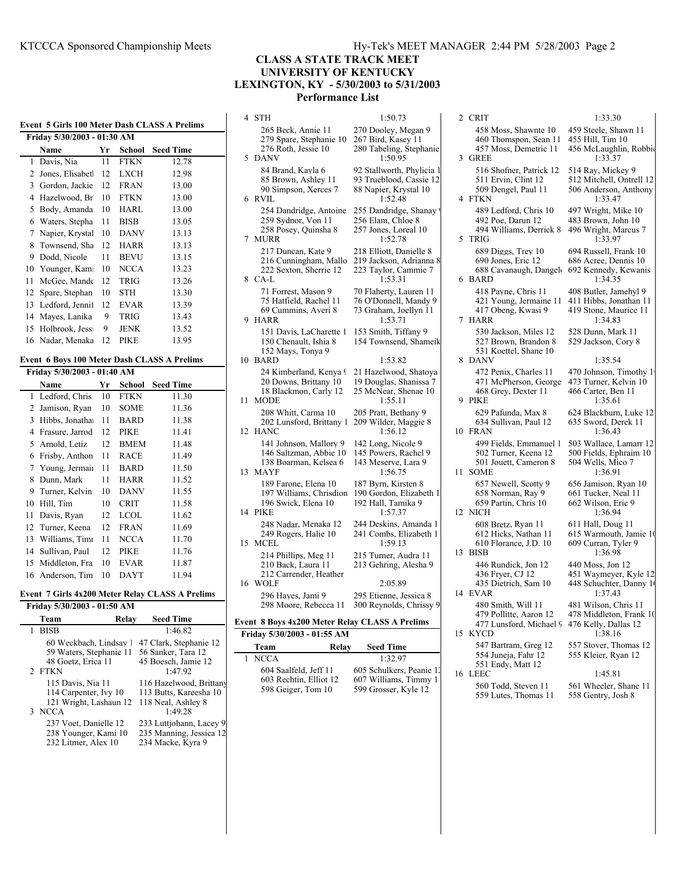**Event 5 Girls 100 Meter Dash CLASS A Prelims**

# **CLASS A STATE TRACK MEET UNIVERSITY OF KENTUCKY LEXINGTON, KY - 5/30/2003 to 5/31/2003 Performance List**

**Friday 5/30/2003 - 01:30 AM Name Wr School Seed Time** 1 Davis, Nia 11 FTKN 12.78 2 Jones, Elisabet 12 LXCH 12.98 3 Gordon, Jackie 12 FRAN 13.00 4 Hazelwood, Br 10 FTKN 13.00 5 Body, Amanda 10 HARL 13.00 6 Waters, Stepha 11 BISB 13.05 7 Napier, Krystal 10 DANV 13.13 8 Townsend, Sha 12 HARR 13.13 9 Dodd, Nicole 11 BEVU 13.15 10 Younger, Kami 10 NCCA 13.23 11 McGee, Mande 12 TRIG 13.26 12 Spare, Stephan 10 STH 13.30 13 Ledford, Jennif 12 EVAR 13.39 14 Mayes, Lanika 9 TRIG 13.43 15 Holbrook, Jess: 9 JENK 13.52 16 Nadar, Menaka 12 PIKE 13.95 **Event 6 Boys 100 Meter Dash CLASS A Prelims Friday 5/30/2003 - 01:40 AM Name Name Name Name Name Name N** 1 Ledford, Chris 10 FTKN 11.30 2 Jamison, Ryan 10 SOME 11.36 3 Hibbs, Jonatha 11 BARD 11.38 4 Frasure, Jarrod 12 PIKE 11.41 5 Arnold, Letiz 12 BMEM 11.48 6 Frisby, Anthon 11 RACE 11.49 7 Young, Jermain 11 BARD 11.50 8 Dunn, Mark 11 HARR 11.52 9 Turner, Kelvin 10 DANV 11.55 10 Hill, Tim 10 CRIT 11.58 11 Davis, Ryan 12 LCOL 11.62 12 Turner, Keena 12 FRAN 11.69 13 Williams, Timi 11 NCCA 11.70 14 Sullivan, Paul 12 PIKE 11.76 15 Middleton Fran 10 EVAR 11.87 16 Anderson, Tim 10 DAYT 11.94

### **Event 7 Girls 4x200 Meter Relay CLASS A Prelims**

| Friday 5/30/2003 - 01:50 AM |                           |
|-----------------------------|---------------------------|
| Team                        | <b>Seed Time</b><br>Relay |
| <b>BISB</b>                 | 1:46.82                   |
| 60 Weckbach, Lindsay 1      | 47 Clark, Stephanie 12    |
| 59 Waters, Stephanie 11     | 56 Sanker, Tara 12        |
| 48 Goetz, Erica 11          | 45 Boesch, Jamie 12       |
| 2 FTKN                      | 1:47.92                   |
| 115 Davis, Nia 11           | 116 Hazelwood, Brittany   |
| 114 Carpenter, Ivy 10       | 113 Butts, Kareesha 10    |
| 121 Wright, Lashaun 12      | 118 Neal, Ashley 8        |
| 3 NCCA                      | 1:49.28                   |
| 237 Voet, Danielle 12       | 233 Luttjohann, Lacey 9   |
| 238 Younger, Kami 10        | 235 Manning, Jessica 12   |
| 232 Litmer, Alex 10         | 234 Macke, Kyra 9         |

| 4  | STH                                                                                      | 1:50.73                                                                                  |
|----|------------------------------------------------------------------------------------------|------------------------------------------------------------------------------------------|
| 5  | 265 Beck, Annie 11<br>279 Spare, Stephanie 10<br>276 Roth, Jessie 10<br><b>DANV</b>      | 270 Dooley, Megan 9<br>267 Bird, Kasey 11<br>280 Tabeling, Stephanie<br>1:50.95          |
| 6  | 84 Brand, Kayla 6<br>85 Brown, Ashley 11<br>90 Simpson, Xerces 7<br><b>RVIL</b>          | 92 Stallworth, Phylicia 1<br>93 Trueblood, Cassie 12<br>88 Napier, Krystal 10<br>1:52.48 |
| 7  | 254 Dandridge, Antoine<br>259 Sydnor, Von 11<br>258 Posey, Quinsha 8<br><b>MURR</b>      | 255 Dandridge, Shanay<br>256 Elam, Chloe 8<br>257 Jones, Loreal 10<br>1:52.78            |
| 8  | 217 Duncan, Kate 9<br>216 Cunningham, Mallo<br>222 Sexton, Sherrie 12<br>$CA-L$          | 218 Elliott, Danielle 8<br>219 Jackson, Adrianna 8<br>223 Taylor, Cammie 7<br>1:53.31    |
| 9  | 71 Forrest, Mason 9<br>75 Hatfield, Rachel 11<br>69 Cummins, Averi 8<br>HARR             | 70 Flaherty, Lauren 11<br>76 O'Donnell, Mandy 9<br>73 Graham, Joellyn 11<br>1:53.71      |
| 10 | 151 Davis, LaCharette 1<br>150 Chenault, Ishia 8<br>152 Mays, Tonya 9<br><b>BARD</b>     | 153 Smith, Tiffany 9<br>154 Townsend, Shameik<br>1:53.82                                 |
| 11 | 24 Kimberland, Kenya 9<br>20 Downs, Brittany 10<br>18 Blackmon, Carly 12<br>MODE         | 21 Hazelwood, Shatoya<br>19 Douglas, Shanissa 7<br>25 McNear, Shenae 10<br>1:55.11       |
| 12 | 208 Whitt, Carma 10<br>202 Lunsford, Brittany 1<br><b>HANC</b>                           | 205 Pratt, Bethany 9<br>209 Wilder, Maggie 8<br>1:56.12                                  |
| 13 | 141 Johnson, Mallory 9<br>146 Saltzman, Abbie 10<br>138 Boarman, Kelsea 6<br><b>MAYF</b> | 142 Long, Nicole 9<br>145 Powers, Rachel 9<br>143 Meserve, Lara 9<br>1:56.75             |
| 14 | 189 Farone, Elena 10<br>197 Williams, Chrisdion<br>196 Swick, Elena 10<br><b>PIKE</b>    | 187 Byrn, Kirsten 8<br>190 Gordon, Elizabeth 1<br>192 Hall, Tamika 9<br>1:57.37          |
| 15 | 248 Nadar, Menaka 12<br>249 Rogers, Halie 10<br><b>MCEL</b>                              | 244 Deskins, Amanda 1<br>241 Combs, Elizabeth 1<br>1:59.13                               |
|    | 214 Phillips, Meg 11<br>210 Back, Laura 11<br>212 Carrender, Heather                     | 215 Turner, Audra 11<br>213 Gehring, Alesha 9                                            |
| 16 | WOLF<br>296 Hayes, Jami 9<br>298 Moore, Rebecca 11                                       | 2:05.89<br>295 Etienne, Jessica 8<br>300 Reynolds, Chrissy 9                             |
|    | vont. & Boys 4x200 Motor Polay CLASS A Prolime                                           |                                                                                          |

|  |  |  | Event 8 Boys 4x200 Meter Relay CLASS A Prelims |
|--|--|--|------------------------------------------------|
|  |  |  |                                                |
|  |  |  |                                                |

| Friday 5/30/2003 - 01:55 AM |                          |  |  |  |  |  |  |
|-----------------------------|--------------------------|--|--|--|--|--|--|
| Relay<br>Team               | <b>Seed Time</b>         |  |  |  |  |  |  |
| 1 NCCA                      | 1:32.97                  |  |  |  |  |  |  |
| 604 Saalfeld, Jeff 11       | 605 Schulkers, Peanie 12 |  |  |  |  |  |  |
| 603 Rechtin, Elliot 12      | 607 Williams, Timmy 11   |  |  |  |  |  |  |
| 598 Geiger, Tom 10          | 599 Grosser, Kyle 12     |  |  |  |  |  |  |

2 CRIT 1:33.30 458 Moss, Shawnte 10 459 Steele, Shawn 11 460 Thomspon, Sean 11 457 Moss, Demetric 11 456 McLaughlin, Robbie 3 GREE 1:33.37 516 Shofner, Patrick 12 514 Ray, Mickey 9<br>511 Ervin, Clint 12 512 Mitchell, Ontre 512 Mitchell, Ontrell 12 509 Dengel, Paul 11 506 Anderson, Anthony<br>TKN 1:33.47 4 FTKN 489 Ledford, Chris 10 497 Wright, Mike 10 492 Poe, Darun 12 483 Brown, John 10<br>494 Williams, Derrick 8 496 Wright, Marcus 7 494 Williams, Derrick 8 5 TRIG 1:33.97 689 Diggs, Trey 10 694 Russell, Frank 10<br>690 Jones. Eric 12 686 Acree, Dennis 10 686 Acree, Dennis 10 688 Cavanaugh, Dangelo 692 Kennedy, Kewanis ARD 1:34.35 6 BARD 418 Payne, Chris 11 408 Butler, Jamehyl 9 421 Young, Jermaine 11 411 Hibbs, Jonathan 11 417 Obeng, Kwasi 9 419 Stone, Maurice 11 7 HARR 1:34.83 530 Jackson, Miles 12 528 Dunn, Mark 11<br>527 Brown, Brandon 8 529 Jackson, Cory 8 531 Koettel, Shane 10 8 DANV 1:35.54 472 Penix, Charles 11 470 Johnson, Timothy 1<br>471 McPherson, George 473 Turner, Kelvin 10 471 McPherson, George 468 Grey, Dexter 11 466 Carter, Ben 11 9 PIKE 1:35.61 629 Pafunda, Max 8 624 Blackburn, Luke 12 634 Sullivan, Paul 12 635 Sword, Derek 11 10 FRAN 499 Fields, Emmanuel 1 503 Wallace, Lamarr 12 502 Turner, Keena 12 500 Fields, Ephraim 10<br>501 Jouett, Cameron 8 504 Wells, Mico 7 501 Jouett, Cameron 8 504 Wells, Mico 7.136.91 11 SOME 657 Newell, Scotty 9 656 Jamison, Ryan 10 658 Norman, Ray 9 661 Tucker, Neal 11 659 Partin, Chris 10 662 Wilson, Eric 9 12 NICH 1:36.94 608 Bretz, Ryan 11 611 Hall, Doug 11 612 Hicks, Nathan 11 615 Warmouth, Jamie 10 610 Florance, J.D. 10 609 Curran, Tyler 9 13 BISB 1:36.98 446 Rundick, Jon 12 440 Moss, Jon 12 436 Fryer, CJ 12 451 Waymeyer, Kyle 12 435 Dietrich, Sam 10 448 Schuchter, Danny 10 14 EVAR 1:37.43 480 Smith, Will 11 481 Wilson, Chris 11 479 Pollitte, Aaron 12 478 Middleton, Frank 10<br>477 Lunsford, Michael 5 476 Kelly, Dallas 12 477 Lunsford, Michael 9 15 KYCD 1:38.16 547 Bartram, Greg 12 557 Stover, Thomas 12 551 Endy, Matt 12

529 Jackson, Cory 8 555 Kleier, Ryan 12 16 LEEC 1:45.81 560 Todd, Steven 11 561 Wheeler, Shane 11

559 Lutes, Thomas 11 558 Gentry, Josh 8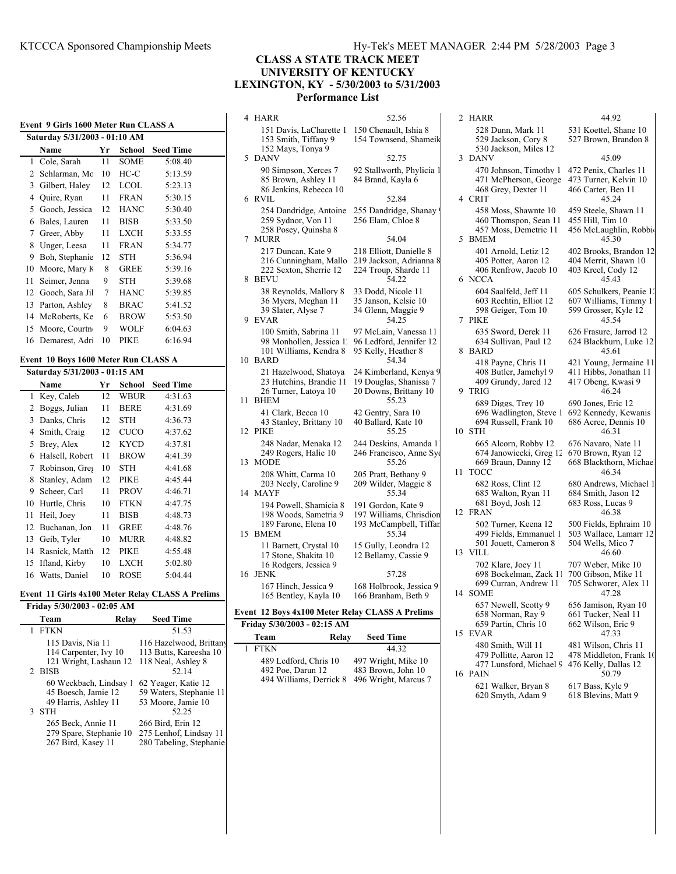# **CLASS A STATE TRACK MEET UNIVERSITY OF KENTUCKY LEXINGTON, KY - 5/30/2003 to 5/31/2003 Performance List**

| Event 9 Girls 1600 Meter Run CLASS A |                                                                       |    |             |                  |  |  |  |  |  |  |  |  |
|--------------------------------------|-----------------------------------------------------------------------|----|-------------|------------------|--|--|--|--|--|--|--|--|
|                                      | Saturday 5/31/2003 - 01:10 AM                                         |    |             |                  |  |  |  |  |  |  |  |  |
|                                      | Name                                                                  | Yr | School      | <b>Seed Time</b> |  |  |  |  |  |  |  |  |
| $\mathbf{1}$                         | Cole, Sarah                                                           | 11 | <b>SOME</b> | 5:08.40          |  |  |  |  |  |  |  |  |
| $\overline{c}$                       | Schlarman, Mc                                                         | 10 | $HC-C$      | 5:13.59          |  |  |  |  |  |  |  |  |
| 3                                    | Gilbert, Haley                                                        | 12 | <b>LCOL</b> | 5:23.13          |  |  |  |  |  |  |  |  |
| $\overline{4}$                       | Quire, Ryan                                                           | 11 | <b>FRAN</b> | 5:30.15          |  |  |  |  |  |  |  |  |
| 5                                    | Gooch, Jessica                                                        | 12 | <b>HANC</b> | 5:30.40          |  |  |  |  |  |  |  |  |
| 6                                    | Bales, Lauren                                                         | 11 | <b>BISB</b> | 5:33.50          |  |  |  |  |  |  |  |  |
| $\tau$                               | Greer, Abby                                                           | 11 | <b>LXCH</b> | 5:33.55          |  |  |  |  |  |  |  |  |
| 8                                    | Unger, Leesa                                                          | 11 | <b>FRAN</b> | 5:34.77          |  |  |  |  |  |  |  |  |
| 9                                    | Boh, Stephanie                                                        | 12 | <b>STH</b>  | 5:36.94          |  |  |  |  |  |  |  |  |
| 10                                   | Moore, Mary K                                                         | 8  | <b>GREE</b> | 5:39.16          |  |  |  |  |  |  |  |  |
| 11                                   | Seimer, Jenna                                                         | 9  | <b>STH</b>  | 5:39.68          |  |  |  |  |  |  |  |  |
| 12                                   | Gooch, Sara Jil                                                       | 7  | <b>HANC</b> | 5:39.85          |  |  |  |  |  |  |  |  |
| 13                                   | Parton, Ashley                                                        | 8  | <b>BRAC</b> | 5:41.52          |  |  |  |  |  |  |  |  |
| 14                                   | McRoberts, Ke                                                         | 6  | <b>BROW</b> | 5:53.50          |  |  |  |  |  |  |  |  |
| 15                                   | Moore, Courtn                                                         | 9  | <b>WOLF</b> | 6:04.63          |  |  |  |  |  |  |  |  |
| 16                                   | Demarest, Adri                                                        | 10 | PIKE        | 6:16.94          |  |  |  |  |  |  |  |  |
|                                      |                                                                       |    |             |                  |  |  |  |  |  |  |  |  |
|                                      | Event 10 Boys 1600 Meter Run CLASS A<br>Saturday 5/31/2003 - 01:15 AM |    |             |                  |  |  |  |  |  |  |  |  |
|                                      | Name                                                                  | Yr | School      | <b>Seed Time</b> |  |  |  |  |  |  |  |  |
| $\mathbf{1}$                         | Key, Caleb                                                            | 12 | <b>WBUR</b> | 4:31.63          |  |  |  |  |  |  |  |  |
| 2                                    | Boggs, Julian                                                         | 11 | <b>BERE</b> | 4:31.69          |  |  |  |  |  |  |  |  |
| 3                                    | Danks, Chris                                                          | 12 | <b>STH</b>  | 4:36.73          |  |  |  |  |  |  |  |  |
| 4                                    | Smith, Craig                                                          | 12 | <b>CUCO</b> | 4:37.62          |  |  |  |  |  |  |  |  |
| 5                                    | Brey, Alex                                                            | 12 | <b>KYCD</b> | 4:37.81          |  |  |  |  |  |  |  |  |
| 6                                    | Halsell, Robert                                                       | 11 | <b>BROW</b> | 4:41.39          |  |  |  |  |  |  |  |  |
| $\tau$                               | Robinson, Gres                                                        | 10 | <b>STH</b>  | 4:41.68          |  |  |  |  |  |  |  |  |
| 8                                    | Stanley, Adam                                                         | 12 | <b>PIKE</b> | 4:45.44          |  |  |  |  |  |  |  |  |
| 9                                    | Scheer, Carl                                                          | 11 | <b>PROV</b> | 4:46.71          |  |  |  |  |  |  |  |  |
| 10                                   | Hurtle, Chris                                                         | 10 | <b>FTKN</b> | 4:47.75          |  |  |  |  |  |  |  |  |
| 11                                   | Heil, Joev                                                            | 11 | <b>BISB</b> | 4:48.73          |  |  |  |  |  |  |  |  |
| 12                                   | Buchanan, Jon                                                         | 11 | <b>GREE</b> | 4:48.76          |  |  |  |  |  |  |  |  |
| 13                                   | Geib, Tyler                                                           | 10 | <b>MURR</b> | 4:48.82          |  |  |  |  |  |  |  |  |
| 14                                   | Rasnick, Matth                                                        | 12 | <b>PIKE</b> | 4:55.48          |  |  |  |  |  |  |  |  |
| 15                                   | Ifland, Kirby                                                         | 10 | <b>LXCH</b> | 5:02.80          |  |  |  |  |  |  |  |  |
| 16                                   | Watts, Daniel                                                         | 10 | <b>ROSE</b> | 5:04.44          |  |  |  |  |  |  |  |  |
|                                      |                                                                       |    |             |                  |  |  |  |  |  |  |  |  |

#### **Event 11 Girls 4x100 Meter Relay CLASS A Prelims Friday 5/30/2003 - 02:05 AM**

|             | FIIUAV <i>3/30/4003 - 04;03</i> AIVI                                  |                                                                                  |
|-------------|-----------------------------------------------------------------------|----------------------------------------------------------------------------------|
| Team        | Relay                                                                 | <b>Seed Time</b>                                                                 |
| <b>FTKN</b> |                                                                       | 51.53                                                                            |
| 2 BISB      | 115 Davis, Nia 11<br>114 Carpenter, Ivy 10<br>121 Wright, Lashaun 12  | 116 Hazelwood, Brittany<br>113 Butts, Kareesha 10<br>118 Neal, Ashley 8<br>52.14 |
| <b>STH</b>  | 60 Weckbach, Lindsay 1<br>45 Boesch, Jamie 12<br>49 Harris, Ashley 11 | 62 Yeager, Katie 12<br>59 Waters, Stephanie 11<br>53 Moore, Jamie 10<br>52.25    |
|             | 265 Beck. Annie 11<br>279 Spare, Stephanie 10<br>267 Bird, Kasey 11   | 266 Bird, Erin 12<br>275 Lenhof, Lindsay 11<br>280 Tabeling, Stephanie           |

| 4  | <b>HARR</b>                                                                                | 52.56                                                                               |
|----|--------------------------------------------------------------------------------------------|-------------------------------------------------------------------------------------|
|    | 151 Davis, LaCharette 1<br>153 Smith, Tiffany 9<br>152 Mays, Tonya 9                       | 150 Chenault, Ishia 8<br>154 Townsend, Shameik                                      |
| 5  | <b>DANV</b>                                                                                | 52.75                                                                               |
|    | 90 Simpson, Xerces 7<br>85 Brown, Ashley 11<br>86 Jenkins, Rebecca 10                      | 92 Stallworth, Phylicia 1<br>84 Brand, Kayla 6                                      |
| 6  | <b>RVIL</b>                                                                                | 52.84                                                                               |
|    | 254 Dandridge, Antoine<br>259 Sydnor, Von 11<br>258 Posey, Quinsha 8<br><b>MURR</b>        | 255 Dandridge, Shanay!<br>256 Elam, Chloe 8<br>54.04                                |
| 7  | 217 Duncan, Kate 9                                                                         |                                                                                     |
| 8  | 216 Cunningham, Mallo<br>222 Sexton, Sherrie 12<br><b>BEVU</b>                             | 218 Elliott, Danielle 8<br>219 Jackson, Adrianna 8<br>224 Troup, Sharde 11<br>54.22 |
| 9  | 38 Reynolds, Mallory 8<br>36 Myers, Meghan 11<br>39 Slater, Alyse 7<br><b>EVAR</b>         | 33 Dodd, Nicole 11<br>35 Janson, Kelsie 10<br>34 Glenn, Maggie 9<br>54.25           |
| 10 | 100 Smith, Sabrina 11<br>98 Monhollen, Jessica 1.<br>101 Williams, Kendra 8<br><b>BARD</b> | 97 McLain, Vanessa 11<br>96 Ledford, Jennifer 12<br>95 Kelly, Heather 8<br>54.34    |
| 11 | 21 Hazelwood, Shatoya<br>23 Hutchins, Brandie 11<br>26 Turner, Latoya 10<br><b>BHEM</b>    | 24 Kimberland, Kenya 9<br>19 Douglas, Shanissa 7<br>20 Downs, Brittany 10<br>55.23  |
| 12 | 41 Clark, Becca 10<br>43 Stanley, Brittany 10<br><b>PIKE</b>                               | 42 Gentry, Sara 10<br>40 Ballard, Kate 10<br>55.25                                  |
| 13 | 248 Nadar, Menaka 12<br>249 Rogers, Halie 10<br>MODE                                       | 244 Deskins, Amanda 1<br>246 Francisco, Anne Syd<br>55.26                           |
| 14 | 208 Whitt, Carma 10<br>203 Neely, Caroline 9<br>MAYF                                       | 205 Pratt, Bethany 9<br>209 Wilder, Maggie 8<br>55.34                               |
| 15 | 194 Powell, Shamicia 8<br>198 Woods, Sametria 9<br>189 Farone, Elena 10<br><b>BMEM</b>     | 191 Gordon, Kate 9<br>197 Williams, Chrisdion<br>193 McCampbell, Tiffar<br>55.34    |
|    | 11 Barnett, Crystal 10<br>17 Stone, Shakita 10<br>16 Rodgers, Jessica 9                    | 15 Gully, Leondra 12<br>12 Bellamy, Cassie 9                                        |
| 16 | JENK                                                                                       | 57.28                                                                               |
|    | 167 Hinch, Jessica 9<br>165 Bentley, Kayla 10                                              | 168 Holbrook, Jessica 9<br>166 Branham, Beth 9                                      |
|    | Event 12 Boys 4x100 Meter Relay CLASS A Prelims                                            |                                                                                     |
|    | Friday 5/30/2003 - 02:15 AM                                                                |                                                                                     |

| Team   |                                              | Relay | <b>Seed Time</b>    |  |
|--------|----------------------------------------------|-------|---------------------|--|
| 1 FTKN |                                              |       | 44 32               |  |
|        | 489 Ledford, Chris 10                        |       | 497 Wright, Mike 10 |  |
|        | 492 Poe, Darun 12                            |       | 483 Brown, John 10  |  |
|        | 494 Williams, Derrick 8 496 Wright, Marcus 7 |       |                     |  |

| 2  | HARR                                                                                   | 44.92                                                                           |
|----|----------------------------------------------------------------------------------------|---------------------------------------------------------------------------------|
|    | 528 Dunn, Mark 11<br>529 Jackson, Cory 8<br>530 Jackson, Miles 12                      | 531 Koettel, Shane 10<br>527 Brown, Brandon 8                                   |
| 3  | <b>DANV</b>                                                                            | 45.09                                                                           |
| 4  | 470 Johnson, Timothy 1<br>471 McPherson, George<br>468 Grey, Dexter 11<br><b>CRIT</b>  | 472 Penix, Charles 11<br>473 Turner, Kelvin 10<br>466 Carter, Ben 11<br>45.24   |
|    | 458 Moss, Shawnte 10                                                                   | 459 Steele, Shawn 11                                                            |
| 5  | 460 Thomspon, Sean 11<br>457 Moss, Demetric 11<br><b>BMEM</b>                          | 455 Hill, Tim 10<br>456 McLaughlin, Robbio<br>45.30                             |
| 6  | 401 Arnold, Letiz 12<br>405 Potter, Aaron 12<br>406 Renfrow, Jacob 10<br><b>NCCA</b>   | 402 Brooks, Brandon 12<br>404 Merrit, Shawn 10<br>403 Kreel, Cody 12<br>45.43   |
|    | 604 Saalfeld, Jeff 11<br>603 Rechtin, Elliot 12<br>598 Geiger, Tom 10                  | 605 Schulkers, Peanie 12<br>607 Williams, Timmy 1<br>599 Grosser, Kyle 12       |
| 7  | PIKE                                                                                   | 45.54                                                                           |
| 8  | 635 Sword, Derek 11<br>634 Sullivan, Paul 12<br><b>BARD</b>                            | 626 Frasure, Jarrod 12<br>624 Blackburn, Luke 12<br>45.61                       |
| 9  | 418 Payne, Chris 11<br>408 Butler, Jamehyl 9<br>409 Grundy, Jared 12<br>TRIG           | 421 Young, Jermaine 11<br>411 Hibbs, Jonathan 11<br>417 Obeng, Kwasi 9<br>46.24 |
| 10 | 689 Diggs, Trey 10<br>696 Wadlington, Steve 1<br>694 Russell, Frank 10<br><b>STH</b>   | 690 Jones, Eric 12<br>692 Kennedy, Kewanis<br>686 Acree, Dennis 10<br>46.31     |
| 11 | 665 Alcorn, Robby 12<br>674 Janowiecki, Greg 12<br>669 Braun, Danny 12<br>TOCC         | 676 Navaro, Nate 11<br>670 Brown, Ryan 12<br>668 Blackthorn, Michael<br>46.34   |
|    | 682 Ross, Clint 12<br>685 Walton, Ryan 11                                              | 680 Andrews, Michael 1<br>684 Smith, Jason 12                                   |
| 12 | 681 Boyd, Josh 12<br>FRAN                                                              | 683 Ross, Lucas 9<br>46.38                                                      |
| 13 | 502 Turner, Keena 12<br>499 Fields, Emmanuel 1<br>501 Jouett, Cameron 8<br><b>VILL</b> | 500 Fields, Ephraim 10<br>503 Wallace, Lamarr 12<br>504 Wells, Mico 7<br>46.60  |
| 14 | 702 Klare, Joey 11<br>698 Bockelman, Zack 11<br>699 Curran, Andrew 11<br><b>SOME</b>   | 707 Weber, Mike 10<br>700 Gibson, Mike 11<br>705 Schworer, Alex 11<br>47.28     |
|    | 657 Newell, Scotty 9<br>658 Norman, Ray 9                                              | 656 Jamison, Ryan 10<br>661 Tucker, Neal 11                                     |
| 15 | 659 Partin, Chris 10<br><b>EVAR</b>                                                    | 662 Wilson, Eric 9<br>47.33                                                     |
|    | 480 Smith, Will 11<br>479 Pollitte, Aaron 12<br>477 Lunsford, Michael 9                | 481 Wilson, Chris 11<br>478 Middleton, Frank 10<br>476 Kelly, Dallas 12         |
| 16 | PAIN                                                                                   | 50.79                                                                           |

621 Walker, Bryan 8 617 Bass, Kyle 9<br>620 Smyth, Adam 9 618 Blevins, Matt 9

620 Smyth, Adam 9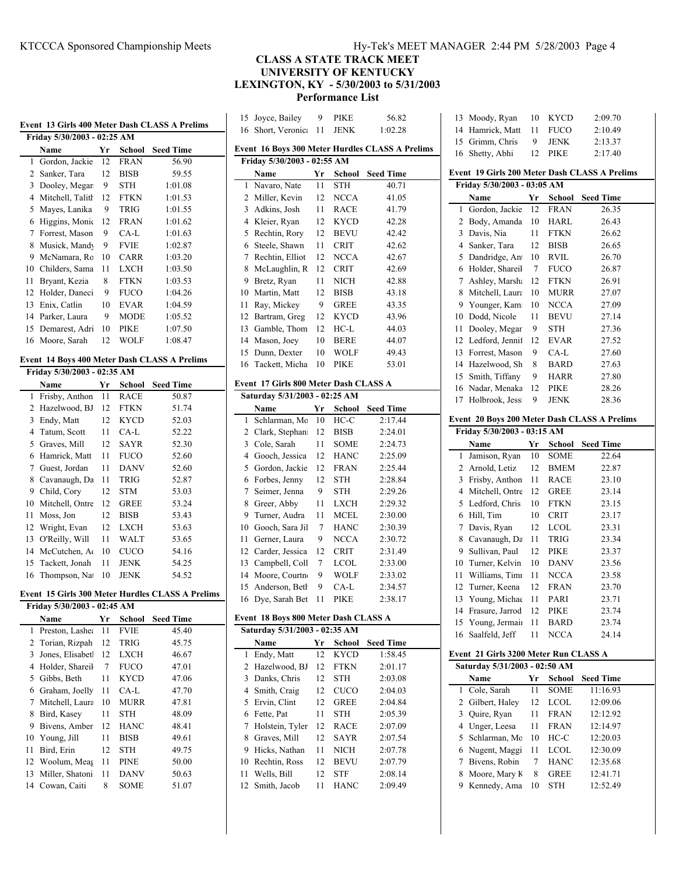# KTCCCA Sponsored Championship Meets Hy-Tek's MEET MANAGER 2:44 PM 5/28/2003 Page 4

# **CLASS A STATE TRACK MEET UNIVERSITY OF KENTUCKY LEXINGTON, KY - 5/30/2003 to 5/31/2003 Performance List**

|                             |     |             |                                                   |    | 15 Joyce, Bailey                      | 9              | <b>PIKE</b> | 56.82                                           |    | 13 Moody, Ryan                        |    | 10 KYCD     | 2:09.70                                       |
|-----------------------------|-----|-------------|---------------------------------------------------|----|---------------------------------------|----------------|-------------|-------------------------------------------------|----|---------------------------------------|----|-------------|-----------------------------------------------|
|                             |     |             | Event 13 Girls 400 Meter Dash CLASS A Prelims     |    | 16 Short, Veronic: 11                 |                | JENK        | 1:02.28                                         |    | 14 Hamrick, Matt                      | 11 | <b>FUCO</b> | 2:10.49                                       |
| Friday 5/30/2003 - 02:25 AM |     |             |                                                   |    |                                       |                |             |                                                 | 15 | Grimm, Chris                          | 9  | <b>JENK</b> | 2:13.37                                       |
| Name                        | Yr  |             | <b>School</b> Seed Time                           |    |                                       |                |             | Event 16 Boys 300 Meter Hurdles CLASS A Prelims |    | 16 Shetty, Abhi                       | 12 | PIKE        | 2:17.40                                       |
| 1 Gordon, Jackie            | 12  | <b>FRAN</b> | 56.90                                             |    | Friday 5/30/2003 - 02:55 AM           |                |             |                                                 |    |                                       |    |             |                                               |
| 2 Sanker, Tara              | 12  | <b>BISB</b> | 59.55                                             |    | Name                                  | Yr             |             | <b>School</b> Seed Time                         |    |                                       |    |             | Event 19 Girls 200 Meter Dash CLASS A Prelims |
| 3 Dooley, Megar             | 9   | <b>STH</b>  | 1:01.08                                           |    | 1 Navaro, Nate                        | 11             | <b>STH</b>  | 40.71                                           |    | Friday 5/30/2003 - 03:05 AM           |    |             |                                               |
| 4 Mitchell, Talith          | -12 | <b>FTKN</b> | 1:01.53                                           |    | 2 Miller, Kevin                       |                | 12 NCCA     | 41.05                                           |    | Name                                  |    |             | Yr School Seed Time                           |
| 5 Mayes, Lanika             | 9   | <b>TRIG</b> | 1:01.55                                           |    | 3 Adkins, Josh                        | 11             | <b>RACE</b> | 41.79                                           |    | 1 Gordon, Jackie                      | 12 | <b>FRAN</b> | 26.35                                         |
| 6 Higgins, Monic 12         |     | <b>FRAN</b> | 1:01.62                                           |    | 4 Kleier, Ryan                        | 12             | <b>KYCD</b> | 42.28                                           |    | 2 Body, Amanda                        | 10 | HARL        | 26.43                                         |
| 7 Forrest, Mason            | 9   | CA-L        | 1:01.63                                           |    | 5 Rechtin, Rory                       | 12             | <b>BEVU</b> | 42.42                                           |    | 3 Davis, Nia                          | 11 | <b>FTKN</b> | 26.62                                         |
| 8 Musick, Mandy             | 9   | <b>FVIE</b> | 1:02.87                                           |    | 6 Steele, Shawn                       | 11             | <b>CRIT</b> | 42.62                                           |    | 4 Sanker, Tara                        | 12 | <b>BISB</b> | 26.65                                         |
| 9 McNamara, Rc 10           |     | CARR        | 1:03.20                                           |    | 7 Rechtin, Elliot                     |                | 12 NCCA     | 42.67                                           |    | 5 Dandridge, An                       | 10 | RVIL        | 26.70                                         |
| 10 Childers, Sama           | 11  | <b>LXCH</b> | 1:03.50                                           |    | 8 McLaughlin, R                       | 12             | <b>CRIT</b> | 42.69                                           |    | 6 Holder, Shareil                     | 7  | <b>FUCO</b> | 26.87                                         |
| 11 Bryant, Kezia            | 8   | <b>FTKN</b> | 1:03.53                                           |    | 9 Bretz, Ryan                         | 11             | <b>NICH</b> | 42.88                                           |    | 7 Ashley, Marsha                      | 12 | FTKN        | 26.91                                         |
| 12 Holder, Daneci           | 9   | <b>FUCO</b> | 1:04.26                                           |    | 10 Martin, Matt                       | 12             | <b>BISB</b> | 43.18                                           |    | 8 Mitchell, Laura                     | 10 | <b>MURR</b> | 27.07                                         |
| 13 Enix, Catlin             | 10  | <b>EVAR</b> | 1:04.59                                           |    | 11 Ray, Mickey                        | 9              | <b>GREE</b> | 43.35                                           |    | 9 Younger, Kam                        | 10 | <b>NCCA</b> | 27.09                                         |
| 14 Parker, Laura            | 9   | <b>MODE</b> | 1:05.52                                           |    | 12 Bartram, Greg                      | 12             | <b>KYCD</b> | 43.96                                           |    | 10 Dodd, Nicole                       | 11 | <b>BEVU</b> | 27.14                                         |
| 15 Demarest, Adri           | 10  | PIKE        | 1:07.50                                           | 13 | Gamble, Thom                          | 12             | HC-L        | 44.03                                           | 11 | Dooley, Megar                         | 9  | <b>STH</b>  | 27.36                                         |
| 16 Moore, Sarah             | 12  | <b>WOLF</b> | 1:08.47                                           |    | 14 Mason, Joey                        | 10             | <b>BERE</b> | 44.07                                           |    | 12 Ledford, Jenni1                    | 12 | EVAR        | 27.52                                         |
|                             |     |             |                                                   |    | 15 Dunn, Dexter                       | 10             | WOLF        | 49.43                                           | 13 | Forrest, Mason                        | 9  | CA-L        | 27.60                                         |
|                             |     |             | Event 14 Boys 400 Meter Dash CLASS A Prelims      |    | 16 Tackett, Micha                     | 10             | PIKE        | 53.01                                           |    | 14 Hazelwood, Sh                      | 8  | <b>BARD</b> | 27.63                                         |
| Friday 5/30/2003 - 02:35 AM |     |             |                                                   |    |                                       |                |             |                                                 |    | 15 Smith, Tiffany                     | 9  | <b>HARR</b> | 27.80                                         |
| Name                        | Yr  |             | <b>School</b> Seed Time                           |    | Event 17 Girls 800 Meter Dash CLASS A |                |             |                                                 |    | 16 Nadar, Menaka                      | 12 | PIKE        | 28.26                                         |
| 1 Frisby, Anthon 11         |     | <b>RACE</b> | 50.87                                             |    | Saturday 5/31/2003 - 02:25 AM         |                |             |                                                 |    | 17 Holbrook, Jess                     | 9  | <b>JENK</b> | 28.36                                         |
| 2 Hazelwood, BJ 12          |     | <b>FTKN</b> | 51.74                                             |    | Name                                  | Yr             | School      | <b>Seed Time</b>                                |    |                                       |    |             |                                               |
| 3 Endy, Matt                | 12  | <b>KYCD</b> | 52.03                                             |    | 1 Schlarman, Mo                       | -10            | $HC-C$      | 2:17.44                                         |    |                                       |    |             | Event 20 Boys 200 Meter Dash CLASS A Prelims  |
| 4 Tatum, Scott              | 11  | CA-L        | 52.22                                             |    | 2 Clark, Stephani 12                  |                | <b>BISB</b> | 2:24.01                                         |    | Friday 5/30/2003 - 03:15 AM           |    |             |                                               |
| 5 Graves, Mill              | 12  | <b>SAYR</b> | 52.30                                             |    | 3 Cole, Sarah                         | 11             | <b>SOME</b> | 2:24.73                                         |    | Name                                  | Yr | School      | <b>Seed Time</b>                              |
| 6 Hamrick, Matt             |     | 11 FUCO     | 52.60                                             |    | 4 Gooch, Jessica                      | 12             | <b>HANC</b> | 2:25.09                                         |    | 1 Jamison, Ryan                       | 10 | <b>SOME</b> | 22.64                                         |
| 7 Guest, Jordan             | 11  | <b>DANV</b> | 52.60                                             |    | 5 Gordon, Jackie                      | 12             | FRAN        | 2:25.44                                         |    | 2 Arnold, Letiz                       | 12 | <b>BMEM</b> | 22.87                                         |
| 8 Cavanaugh, Da 11          |     | <b>TRIG</b> | 52.87                                             |    | 6 Forbes, Jenny                       | 12             | <b>STH</b>  | 2:28.84                                         |    | 3 Frisby, Anthon                      | 11 | RACE        | 23.10                                         |
| 9 Child, Cory               | 12  | <b>STM</b>  | 53.03                                             | 7  | Seimer, Jenna                         | 9              | <b>STH</b>  | 2:29.26                                         |    | 4 Mitchell, Ontre                     | 12 | <b>GREE</b> | 23.14                                         |
| 10 Mitchell, Ontre 12       |     | <b>GREE</b> | 53.24                                             |    | 8 Greer, Abby                         | 11             | LXCH        | 2:29.32                                         |    | 5 Ledford, Chris                      | 10 | FTKN        | 23.15                                         |
| 11 Moss, Jon                | 12  | <b>BISB</b> | 53.43                                             | 9. | Turner, Audra                         | 11             | MCEL        | 2:30.00                                         |    | 6 Hill, Tim                           | 10 | <b>CRIT</b> | 23.17                                         |
| 12 Wright, Evan             |     | 12 LXCH     | 53.63                                             |    | 10 Gooch, Sara Jil                    | 7              | <b>HANC</b> | 2:30.39                                         |    | 7 Davis, Ryan                         | 12 | <b>LCOL</b> | 23.31                                         |
| 13 O'Reilly, Will           | 11  | WALT        | 53.65                                             | 11 | Gerner, Laura                         | 9              | <b>NCCA</b> | 2:30.72                                         |    | 8 Cavanaugh, Da                       | 11 | <b>TRIG</b> | 23.34                                         |
| 14 McCutchen, A             | 10  | <b>CUCO</b> | 54.16                                             | 12 | Carder, Jessica                       | 12             | <b>CRIT</b> | 2:31.49                                         | 9  | Sullivan, Paul                        | 12 | PIKE        | 23.37                                         |
| 15 Tackett, Jonah           | 11  | <b>JENK</b> | 54.25                                             |    | 13 Campbell, Coll                     | $\overline{7}$ | <b>LCOL</b> | 2:33.00                                         | 10 | Turner, Kelvin                        | 10 | DANV        | 23.56                                         |
| 16 Thompson, Na             | 10  | <b>JENK</b> | 54.52                                             |    | 14 Moore, Courtno                     | -9             | <b>WOLF</b> | 2:33.02                                         |    | 11 Williams, Timi                     | 11 | <b>NCCA</b> | 23.58                                         |
|                             |     |             |                                                   |    | 15 Anderson, Beth                     | 9              | $CA-L$      | 2:34.57                                         | 12 | Turner, Keena                         | 12 | FRAN        | 23.70                                         |
|                             |     |             | Event  15 Girls 300 Meter Hurdles CLASS A Prelims |    | 16 Dye, Sarah Bet 11                  |                | PIKE        | 2:38.17                                         |    | 13 Young, Michae                      | 11 | PARI        | 23.71                                         |
| Friday 5/30/2003 - 02:45 AM |     |             |                                                   |    |                                       |                |             |                                                 |    | 14 Frasure, Jarrod                    | 12 | PIKE        | 23.74                                         |
| Name                        |     |             | Yr School Seed Time                               |    | Event 18 Boys 800 Meter Dash CLASS A  |                |             |                                                 |    | 15 Young, Jermain                     | 11 | <b>BARD</b> | 23.74                                         |
| 1 Preston, Lasher 11        |     | <b>FVIE</b> | 45.40                                             |    | Saturday 5/31/2003 - 02:35 AM         |                |             |                                                 |    | 16 Saalfeld, Jeff                     |    | 11 NCCA     | 24.14                                         |
| 2 Torian, Rizpah 12         |     | <b>TRIG</b> | 45.75                                             |    | Name                                  |                |             | Yr School Seed Time                             |    |                                       |    |             |                                               |
| 3 Jones, Elisabet 12 LXCH   |     |             | 46.67                                             |    | 1 Endy, Matt                          |                | 12 KYCD     | 1:58.45                                         |    | Event 21 Girls 3200 Meter Run CLASS A |    |             |                                               |
| 4 Holder, Shareil           | 7   | <b>FUCO</b> | 47.01                                             |    | 2 Hazelwood, BJ                       | 12             | FTKN        | 2:01.17                                         |    | Saturday 5/31/2003 - 02:50 AM         |    |             |                                               |
| 5 Gibbs, Beth               | 11  | <b>KYCD</b> | 47.06                                             |    | 3 Danks, Chris                        | 12             | <b>STH</b>  | 2:03.08                                         |    | Name                                  |    |             | Yr School Seed Time                           |
| 6 Graham, Joelly            |     | 11 CA-L     | 47.70                                             |    | 4 Smith, Craig                        | 12             | <b>CUCO</b> | 2:04.03                                         |    | 1 Cole, Sarah                         | 11 | <b>SOME</b> | 11:16.93                                      |
| 7 Mitchell, Laura 10        |     | <b>MURR</b> | 47.81                                             |    | 5 Ervin, Clint                        | 12             | <b>GREE</b> | 2:04.84                                         |    | 2 Gilbert, Haley                      |    | 12 LCOL     | 12:09.06                                      |
| 8 Bird, Kasey               |     | 11 STH      | 48.09                                             |    | 6 Fette, Pat                          | 11             | <b>STH</b>  | 2:05.39                                         |    | 3 Quire, Ryan                         |    | 11 FRAN     | 12:12.92                                      |
| 9 Bivens, Amber 12          |     | <b>HANC</b> | 48.41                                             |    | 7 Holstein, Tyler                     | 12             | <b>RACE</b> | 2:07.09                                         |    | 4 Unger, Leesa                        | 11 | FRAN        | 12:14.97                                      |
| 10 Young, Jill              | 11  | <b>BISB</b> | 49.61                                             |    | 8 Graves, Mill                        | 12             | SAYR        | 2:07.54                                         |    | 5 Schlarman, Mc                       | 10 | HC-C        | 12:20.03                                      |
| 11 Bird, Erin               | 12  | <b>STH</b>  | 49.75                                             |    | 9 Hicks, Nathan                       | 11             | NICH        | 2:07.78                                         |    | 6 Nugent, Maggi                       | 11 | <b>LCOL</b> | 12:30.09                                      |
| 12 Woolum, Meas             | -11 | <b>PINE</b> | 50.00                                             |    | 10 Rechtin, Ross                      | 12             | <b>BEVU</b> | 2:07.79                                         |    | 7 Bivens, Robin                       | 7  | <b>HANC</b> | 12:35.68                                      |
| 13 Miller, Shatoni 11       |     | <b>DANV</b> | 50.63                                             |    | 11 Wells, Bill                        |                | 12 STF      | 2:08.14                                         |    | 8 Moore, Mary K                       | 8  | <b>GREE</b> | 12:41.71                                      |
| 14 Cowan, Caiti             | 8   | <b>SOME</b> | 51.07                                             |    | 12 Smith, Jacob                       |                | 11 HANC     | 2:09.49                                         |    | 9 Kennedy, Ama                        |    | 10 STH      | 12:52.49                                      |
|                             |     |             |                                                   |    |                                       |                |             |                                                 |    |                                       |    |             |                                               |
|                             |     |             |                                                   |    |                                       |                |             |                                                 |    |                                       |    |             |                                               |
|                             |     |             |                                                   |    |                                       |                |             |                                                 |    |                                       |    |             |                                               |
|                             |     |             |                                                   |    |                                       |                |             |                                                 |    |                                       |    |             |                                               |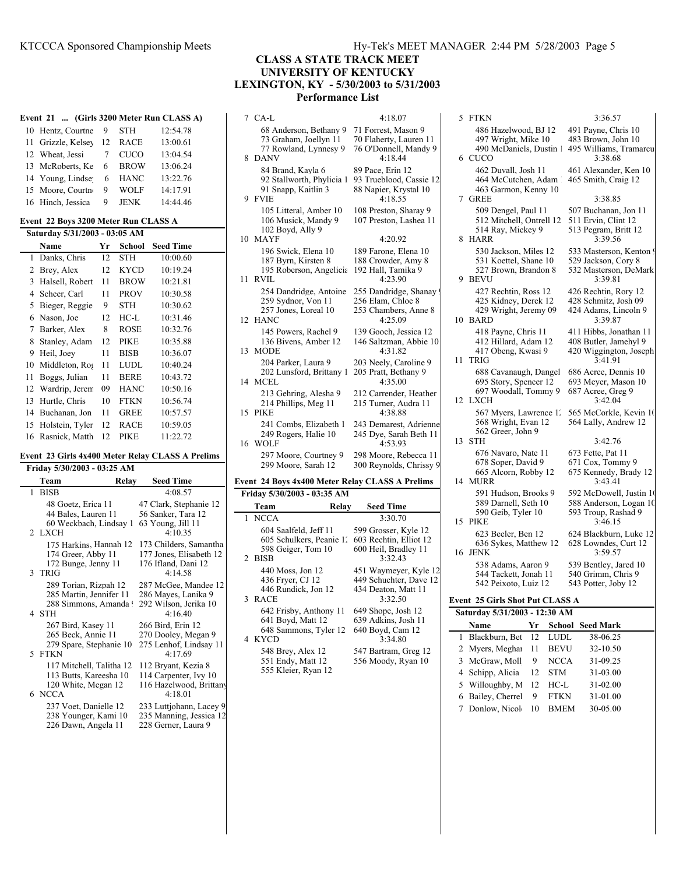# **CLASS A STATE TRACK MEET UNIVERSITY OF KENTUCKY LEXINGTON, KY - 5/30/2003 to 5/31/2003**

**Performance List**

| Event 21  (Girls 3200 Meter Run CLASS A) |   |             |          |
|------------------------------------------|---|-------------|----------|
| 10 Hentz, Courtne                        | 9 | <b>STH</b>  | 12:54.78 |
| 11 Grizzle, Kelsey 12                    |   | <b>RACE</b> | 13:00.61 |
| 12 Wheat, Jessi                          |   | CUCO        | 13:04.54 |
| 13 McRoberts, Ke                         | 6 | <b>BROW</b> | 13:06.24 |
| 14 Young, Lindse                         | 6 | <b>HANC</b> | 13:22.76 |
| 15 Moore, Courtn                         | 9 | <b>WOLF</b> | 14:17.91 |
| 16 Hinch, Jessica                        | 9 | JENK        | 14:44.46 |

## **Event 22 Boys 3200 Meter Run CLASS A**

| Saturday 5/31/2003 - 03:05 AM |                 |    |             |                  |  |  |
|-------------------------------|-----------------|----|-------------|------------------|--|--|
|                               | Name            | Yr | School      | <b>Seed Time</b> |  |  |
| 1                             | Danks, Chris    | 12 | STH         | 10:00.60         |  |  |
| 2                             | Brey, Alex      | 12 | <b>KYCD</b> | 10:19.24         |  |  |
| 3                             | Halsell, Robert | 11 | <b>BROW</b> | 10:21.81         |  |  |
| 4                             | Scheer, Carl    | 11 | <b>PROV</b> | 10:30.58         |  |  |
| 5                             | Bieger, Reggie  | 9  | <b>STH</b>  | 10:30.62         |  |  |
| 6                             | Nason, Joe      | 12 | HC-L        | 10:31.46         |  |  |
| 7                             | Barker, Alex    | 8  | ROSE        | 10:32.76         |  |  |
| 8                             | Stanley, Adam   | 12 | <b>PIKE</b> | 10:35.88         |  |  |
| 9                             | Heil, Joey      | 11 | <b>BISB</b> | 10:36.07         |  |  |
| 10                            | Middleton, Ros  | 11 | LUDL.       | 10:40.24         |  |  |
| 11                            | Boggs, Julian   | 11 | <b>BERE</b> | 10:43.72         |  |  |
| 12                            | Wardrip, Jerem  | 09 | <b>HANC</b> | 10:50.16         |  |  |
| 13                            | Hurtle, Chris   | 10 | <b>FTKN</b> | 10:56.74         |  |  |
| 14                            | Buchanan, Jon   | 11 | <b>GREE</b> | 10:57.57         |  |  |
| 15                            | Holstein, Tyler | 12 | RACE        | 10:59.05         |  |  |
| 16                            | Rasnick, Matth  | 12 | PIKE        | 11:22.72         |  |  |

# **Event 23 Girls 4x400 Meter Relay CLASS A Prelims Friday 5/30/2003 - 03:25 AM**

| Team                                                                                | Relay | <b>Seed Time</b>                                                                    |
|-------------------------------------------------------------------------------------|-------|-------------------------------------------------------------------------------------|
| 1 BISB                                                                              |       | 4:08.57                                                                             |
| 48 Goetz, Erica 11<br>44 Bales, Lauren 11<br>60 Weckbach, Lindsay 1<br>2 LXCH       |       | 47 Clark, Stephanie 12<br>56 Sanker, Tara 12<br>63 Young, Jill 11<br>4:10.35        |
| 175 Harkins, Hannah 12<br>174 Greer, Abby 11<br>172 Bunge, Jenny 11<br>3 TRIG       |       | 173 Childers, Samantha<br>177 Jones, Elisabeth 12<br>176 Ifland, Dani 12<br>4:14.58 |
| 289 Torian, Rizpah 12<br>285 Martin, Jennifer 11<br>288 Simmons, Amanda<br>4 STH    |       | 287 McGee, Mandee 12<br>286 Mayes, Lanika 9<br>292 Wilson, Jerika 10<br>4:16.40     |
| 267 Bird, Kasey 11<br>265 Beck, Annie 11<br>279 Spare, Stephanie 10<br>5 FTKN       |       | 266 Bird, Erin 12<br>270 Dooley, Megan 9<br>275 Lenhof, Lindsay 11<br>4.1769        |
| 117 Mitchell, Talitha 12<br>113 Butts, Kareesha 10<br>120 White, Megan 12<br>6 NCCA |       | 112 Bryant, Kezia 8<br>114 Carpenter, Ivy 10<br>116 Hazelwood, Brittany<br>4:18.01  |
| 237 Voet, Danielle 12<br>238 Younger, Kami 10<br>226 Dawn, Angela 11                |       | 233 Luttjohann, Lacey 9<br>235 Manning, Jessica 12<br>228 Gerner, Laura 9           |

|                  | 7 CA-L                                                                                  | 4:18.07                                                                           |
|------------------|-----------------------------------------------------------------------------------------|-----------------------------------------------------------------------------------|
| 8                | 68 Anderson, Bethany 9<br>73 Graham, Joellyn 11<br>77 Rowland, Lynnesy 9<br><b>DANV</b> | 71 Forrest, Mason 9<br>70 Flaherty, Lauren 11<br>76 O'Donnell, Mandy 9<br>4:18.44 |
| 9                | 84 Brand, Kayla 6<br>92 Stallworth, Phylicia 1<br>91 Snapp, Kaitlin 3<br><b>FVIE</b>    | 89 Pace, Erin 12<br>93 Trueblood, Cassie 12<br>88 Napier, Krystal 10<br>4:18.55   |
|                  | 105 Litteral, Amber 10<br>106 Musick, Mandy 9<br>102 Boyd, Ally 9                       | 108 Preston, Sharay 9<br>107 Preston, Lashea 11                                   |
| 10               | <b>MAYF</b>                                                                             | 4:20.92                                                                           |
| 11               | 196 Swick, Elena 10<br>187 Byrn, Kirsten 8<br>195 Roberson, Angelicia<br>RVIL           | 189 Farone, Elena 10<br>188 Crowder, Amy 8<br>192 Hall, Tamika 9<br>4:23.90       |
| 12 <sup>12</sup> | 254 Dandridge, Antoine<br>259 Sydnor, Von 11<br>257 Jones, Loreal 10<br><b>HANC</b>     | 255 Dandridge, Shanay<br>256 Elam, Chloe 8<br>253 Chambers, Anne 8<br>4:25.09     |
| 13               | 145 Powers, Rachel 9<br>136 Bivens, Amber 12<br><b>MODE</b>                             | 139 Gooch, Jessica 12<br>146 Saltzman, Abbie 10<br>4:31.82                        |
| 14               | 204 Parker, Laura 9<br>202 Lunsford, Brittany 1<br>MCEL                                 | 203 Neely, Caroline 9<br>205 Pratt, Bethany 9<br>4:35.00                          |
| 15               | 213 Gehring, Alesha 9<br>214 Phillips, Meg 11<br>PIKE                                   | 212 Carrender, Heather<br>215 Turner, Audra 11<br>4:38.88                         |
| 16               | 241 Combs, Elizabeth 1<br>249 Rogers, Halie 10<br><b>WOLF</b>                           | 243 Demarest, Adrienne<br>245 Dye, Sarah Beth 11<br>4:53.93                       |
|                  | 297 Moore, Courtney 9<br>299 Moore, Sarah 12                                            | 298 Moore, Rebecca 11<br>300 Reynolds, Chrissy 9                                  |

| Fridav 5/30/2003 - 03:35 AM                                                       |       |                                                                                   |  |  |  |  |  |
|-----------------------------------------------------------------------------------|-------|-----------------------------------------------------------------------------------|--|--|--|--|--|
| Team                                                                              | Relay | <b>Seed Time</b>                                                                  |  |  |  |  |  |
| 1 NCCA                                                                            |       | 3:30.70                                                                           |  |  |  |  |  |
| 604 Saalfeld, Jeff 11<br>605 Schulkers, Peanie 12<br>598 Geiger, Tom 10<br>2 BISB |       | 599 Grosser, Kyle 12<br>603 Rechtin, Elliot 12<br>600 Heil, Bradley 11<br>3:32.43 |  |  |  |  |  |
| 440 Moss. Jon 12<br>436 Fryer, CJ 12<br>446 Rundick, Jon 12<br>3 RACE             |       | 451 Waymeyer, Kyle 12<br>449 Schuchter, Dave 12<br>434 Deaton, Matt 11<br>3:32.50 |  |  |  |  |  |
| 642 Frisby, Anthony 11<br>641 Boyd, Matt 12<br>648 Sammons, Tyler 12<br>4 KYCD    |       | 649 Shope, Josh 12<br>639 Adkins, Josh 11<br>640 Boyd, Cam 12<br>3.3480           |  |  |  |  |  |
| 548 Brey, Alex 12<br>551 Endy, Matt 12<br>555 Kleier, Ryan 12                     |       | 547 Bartram, Greg 12<br>556 Moody, Ryan 10                                        |  |  |  |  |  |

| 4.10.07                                                                     | J  | TТ                                                   |
|-----------------------------------------------------------------------------|----|------------------------------------------------------|
| Forrest, Mason 9                                                            |    |                                                      |
| Flaherty, Lauren 11<br>O'Donnell, Mandy 9<br>4:18.44                        |    | $\overline{\phantom{a}}$<br>6 CU                     |
| Pace, Erin 12                                                               |    |                                                      |
| Trueblood, Cassie 12<br>Napier, Krystal 10<br>4:18.55                       | 7  | $\overline{\phantom{a}}$<br>$\angle$<br>GI           |
| 3 Preston, Sharay 9<br>7 Preston, Lashea 11                                 |    |                                                      |
| 4:20.92                                                                     | 8  | H/                                                   |
| ) Farone, Elena 10<br>3 Crowder, Amy 8<br>2 Hall, Tamika 9<br>4:23.90       | 9  | BE                                                   |
| 5 Dandridge, Shanay<br><b>Elam</b> , Chloe 8<br>Chambers, Anne 8<br>4:25.09 | 10 | $\angle$<br>$\angle$<br>B/                           |
| Gooch, Jessica 12<br>5 Saltzman, Abbie 10<br>4:31.82                        |    | $\overline{\phantom{a}}$<br>$\overline{\phantom{a}}$ |
| 3 Neely, Caroline 9<br>Fratt, Bethany 9<br>4:35.00                          | 11 | TF<br>t<br>t                                         |
| 2 Carrender, Heather<br>5 Turner, Audra 11<br>4:38.88                       | 12 | t<br>L)                                              |
| B Demarest, Adrienne<br>5 Dye, Sarah Beth 11<br>4:53.93                     | 13 | <b>ST</b>                                            |
| 3 Moore, Rebecca 11<br>Reynolds, Chrissy 9                                  |    | t<br>t                                               |

#### **Event 24 Boys 4x400 Meter Relay CLASS A Prelims Friday 5/30/2003 - 03:35 AM**

| <b>Seed Time</b>                                                                         | 59<br>58                                 |
|------------------------------------------------------------------------------------------|------------------------------------------|
| 3:30.70<br>99 Grosser, Kyle 12<br>3 Rechtin, Elliot 12<br>00 Heil, Bradley 11<br>3:32.43 | 59<br>15 PIK<br>62<br>63<br>16 JEN<br>53 |
| 51 Waymeyer, Kyle 12<br>49 Schuchter, Dave 12<br>34 Deaton, Matt 11<br>3:32.50           | 54<br>54<br>Event 25                     |
| 49 Shope, Josh 12<br>39 Adkins, Josh 11<br>40 Boyd, Cam 12<br>3:34.80                    | <b>Saturd</b><br>Nai<br>Bla              |
| 17 Bartram, Greg 12                                                                      | My<br>$\overline{2}$                     |

|                   | 486 Hazelwood, BJ 12<br>497 Wright, Mike 10                            | 491 Payne, Chris 10                                                                  |
|-------------------|------------------------------------------------------------------------|--------------------------------------------------------------------------------------|
| CUCO<br>6         | 490 McDaniels, Dustin 1                                                | 483 Brown, John 10<br>495 Williams, Tramarcu<br>3:38.68                              |
|                   | 462 Duvall, Josh 11<br>464 McCutchen, Adam<br>463 Garmon, Kenny 10     | 461 Alexander, Ken 10<br>465 Smith, Craig 12                                         |
| <b>GREE</b><br>7  | 509 Dengel, Paul 11                                                    | 3:38.85<br>507 Buchanan, Jon 11                                                      |
| 8<br><b>HARR</b>  | 512 Mitchell, Ontrell 12<br>514 Ray, Mickey 9                          | 511 Ervin, Clint 12<br>513 Pegram, Britt 12<br>3:39.56                               |
| <b>BEVU</b><br>9  | 530 Jackson, Miles 12<br>531 Koettel, Shane 10<br>527 Brown, Brandon 8 | 533 Masterson, Kenton 9<br>529 Jackson, Cory 8<br>532 Masterson, DeMark<br>3:39.81   |
| <b>BARD</b><br>10 | 427 Rechtin, Ross 12<br>425 Kidney, Derek 12<br>429 Wright, Jeremy 09  | 426 Rechtin, Rory 12<br>428 Schmitz, Josh 09<br>424 Adams, Lincoln 9<br>3:39.87      |
| <b>TRIG</b><br>11 | 418 Payne, Chris 11<br>412 Hillard, Adam 12<br>417 Obeng, Kwasi 9      | 411 Hibbs, Jonathan 11<br>408 Butler, Jamehyl 9<br>420 Wiggington, Joseph<br>3:41.91 |
| <b>LXCH</b><br>12 | 688 Cavanaugh, Dangel<br>695 Story, Spencer 12<br>697 Woodall, Tommy 9 | 686 Acree, Dennis 10<br>693 Meyer, Mason 10<br>687 Acree, Greg 9<br>3:42.04          |
|                   | 567 Myers, Lawrence 12<br>568 Wright, Evan 12<br>562 Greer, John 9     | 565 McCorkle, Kevin 10<br>564 Lally, Andrew 12                                       |
| 13<br>STH         | 676 Navaro, Nate 11                                                    | 3:42.76<br>673 Fette, Pat 11                                                         |
| <b>MURR</b><br>14 | 678 Soper, David 9<br>665 Alcorn, Robby 12                             | 671 Cox, Tommy 9<br>675 Kennedy, Brady 12<br>3:43.41                                 |
|                   | 591 Hudson, Brooks 9<br>589 Darnell, Seth 10<br>590 Geib, Tyler 10     | 592 McDowell, Justin 10<br>588 Anderson, Logan 10<br>593 Troup, Rashad 9             |
| <b>PIKE</b><br>15 | 623 Beeler, Ben 12                                                     | 3:46.15<br>624 Blackburn, Luke 12                                                    |
| <b>JENK</b><br>16 | 636 Sykes, Matthew 12                                                  | 628 Lowndes, Curt 12<br>3:59.57                                                      |
|                   | 538 Adams, Aaron 9<br>544 Tackett, Jonah 11<br>542 Peixoto, Luiz 12    | 539 Bentley, Jared 10<br>540 Grimm, Chris 9<br>543 Potter, Joby 12                   |

#### **5 Girls Shot Put CLASS A Saturday 5/31/2003 - 12:30 AM**

| Saturgay 5/31/2003 - 12:30 AM |    |             |                         |  |  |  |  |
|-------------------------------|----|-------------|-------------------------|--|--|--|--|
| Name                          | Yr |             | <b>School Seed Mark</b> |  |  |  |  |
| 1 Blackburn, Bet 12           |    | <b>LUDL</b> | 38-06.25                |  |  |  |  |
| 2 Myers, Meghar               | 11 | <b>BEVU</b> | 32-10.50                |  |  |  |  |
| 3 McGraw, Moll                | 9  | <b>NCCA</b> | 31-09.25                |  |  |  |  |
| 4 Schipp, Alicia              | 12 | <b>STM</b>  | 31-03.00                |  |  |  |  |
| 5 Willoughby, M 12            |    | HC-L        | 31-02.00                |  |  |  |  |
| 6 Bailey, Cherrel             | 9  | <b>FTKN</b> | 31-01.00                |  |  |  |  |
| 7 Donlow, Nicol               | 10 | <b>BMEM</b> | 30-05.00                |  |  |  |  |
|                               |    |             |                         |  |  |  |  |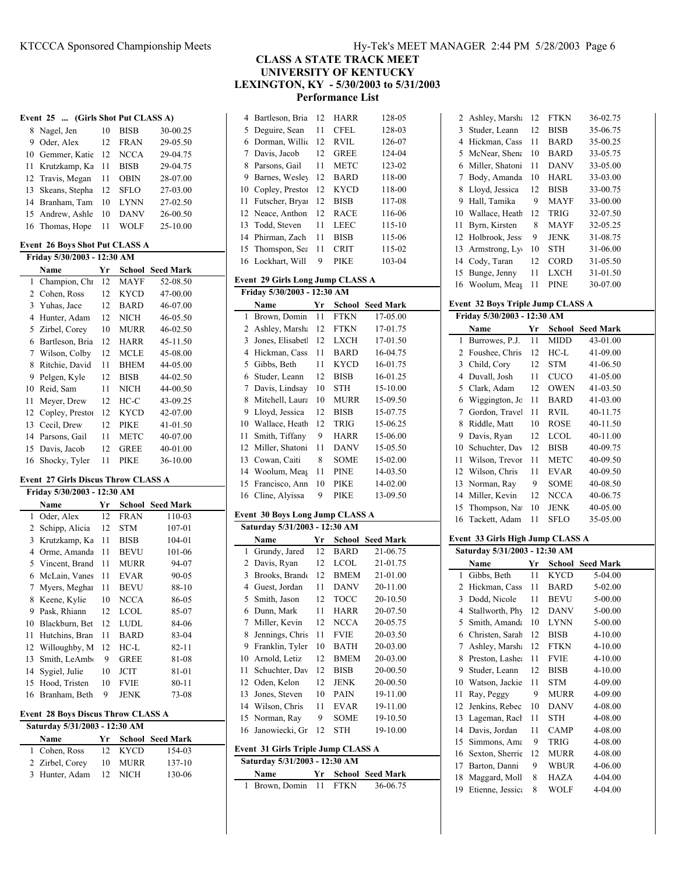| 1y-Tek's MEET MANAGER 2:44 PM 5/28/2003 Page 6 |  |  |  |  |
|------------------------------------------------|--|--|--|--|
|------------------------------------------------|--|--|--|--|

**CLASS A STATE TRACK MEET**

**UNIVERSITY OF KENTUCKY**

**LEXINGTON, KY - 5/30/2003 to 5/31/2003**

**Performance List**

|     | 4 Bartleson, Bria | 12  | HARR        | 128-05 |
|-----|-------------------|-----|-------------|--------|
|     | 5 Deguire, Sean   | 11  | CFEL.       | 128-03 |
|     | 6 Dorman, Willie  | 12  | RVIL        | 126-07 |
|     | 7 Davis, Jacob    | 12  | <b>GREE</b> | 124-04 |
| 8   | Parsons, Gail     | 11  | METC        | 123-02 |
| 9   | Barnes, Wesley    | 12  | <b>BARD</b> | 118-00 |
| 10  | Copley, Prestor   | 12  | <b>KYCD</b> | 118-00 |
| 11  | Futscher, Bryai   | 12  | <b>BISB</b> | 117-08 |
|     | 12 Neace, Anthon  | 12. | <b>RACE</b> | 116-06 |
| 13. | Todd, Steven      | 11  | LEEC        | 115-10 |
|     | 14 Phirman, Zach  | 11  | <b>BISB</b> | 115-06 |
|     | 15 Thomspon, Sea  | 11  | <b>CRIT</b> | 115-02 |
|     | 16 Lockhart. Will | 9   | PIKE        | 103-04 |

# **Event 29 Girls Long Jump CLASS A**

| Friday 5/30/2003 - 12:30 AM |                 |    |             |                  |  |  |
|-----------------------------|-----------------|----|-------------|------------------|--|--|
|                             | Name            | Yr | School      | <b>Seed Mark</b> |  |  |
| 1                           | Brown, Domin    | 11 | <b>FTKN</b> | 17-05.00         |  |  |
| 2                           | Ashley, Marsha  | 12 | <b>FTKN</b> | 17-01.75         |  |  |
| 3                           | Jones, Elisabet | 12 | LXCH        | 17-01.50         |  |  |
| 4                           | Hickman, Cass   | 11 | <b>BARD</b> | 16-04.75         |  |  |
| 5                           | Gibbs, Beth     | 11 | <b>KYCD</b> | 16-01.75         |  |  |
| 6                           | Studer, Leann   | 12 | <b>BISB</b> | 16-01.25         |  |  |
| 7                           | Davis, Lindsay  | 10 | <b>STH</b>  | 15-10.00         |  |  |
| 8                           | Mitchell, Laura | 10 | <b>MURR</b> | 15-09.50         |  |  |
| 9                           | Lloyd, Jessica  | 12 | <b>BISB</b> | 15-07.75         |  |  |
| 10                          | Wallace, Heath  | 12 | <b>TRIG</b> | 15-06.25         |  |  |
| 11                          | Smith, Tiffany  | 9  | <b>HARR</b> | 15-06.00         |  |  |
| 12                          | Miller, Shatoni | 11 | <b>DANV</b> | 15-05.50         |  |  |
| 13                          | Cowan, Caiti    | 8  | SOME        | 15-02.00         |  |  |
| 14                          | Woolum, Meag    | 11 | PINE        | 14-03.50         |  |  |
| 15                          | Francisco, Ann  | 10 | PIKE        | 14-02.00         |  |  |
| 16                          | Cline, Alyissa  | 9  | PIKE        | 13-09.50         |  |  |

# **Event 30 Boys Long Jump CLASS A**

| Saturday 5/31/2003 - 12:30 AM             |                               |                 |             |                         |  |
|-------------------------------------------|-------------------------------|-----------------|-------------|-------------------------|--|
|                                           | Name                          | Yr              |             | <b>School Seed Mark</b> |  |
| 1                                         | Grundy, Jared                 | 12              | <b>BARD</b> | 21-06.75                |  |
| 2                                         | Davis, Ryan                   | 12              | <b>LCOL</b> | 21-01.75                |  |
| 3                                         | Brooks, Brando                | 12.             | <b>BMEM</b> | 21-01.00                |  |
| 4                                         | Guest, Jordan                 | 11              | <b>DANV</b> | 20-11.00                |  |
| 5                                         | Smith, Jason                  | 12              | <b>TOCC</b> | 20-10.50                |  |
| 6                                         | Dunn, Mark                    | 11              | <b>HARR</b> | 20-07.50                |  |
| 7                                         | Miller, Kevin                 | 12              | <b>NCCA</b> | 20-05.75                |  |
| 8                                         | Jennings, Chris               | 11              | <b>FVIE</b> | 20-03.50                |  |
| 9                                         | Franklin, Tyler               | 10              | <b>BATH</b> | 20-03.00                |  |
| 10                                        | Arnold, Letiz                 | 12.             | <b>BMEM</b> | 20-03.00                |  |
| 11                                        | Schuchter, Dav                | 12 <sup>2</sup> | <b>BISB</b> | 20-00.50                |  |
| 12                                        | Oden, Kelon                   | 12              | <b>JENK</b> | 20-00.50                |  |
| 13                                        | Jones, Steven                 | 10              | <b>PAIN</b> | 19-11.00                |  |
| 14                                        | Wilson, Chris                 | 11              | <b>EVAR</b> | 19-11.00                |  |
| 15                                        | Norman, Ray                   | 9               | <b>SOME</b> | 19-10.50                |  |
| 16                                        | Janowiecki, Gr                | 12              | STH         | 19-10.00                |  |
| <b>Event 31 Girls Triple Jump CLASS A</b> |                               |                 |             |                         |  |
|                                           | Saturday 5/31/2003 - 12:30 AM |                 |             |                         |  |
|                                           | Name                          | Yг              | School      | <b>Seed Mark</b>        |  |
| 1                                         | Brown, Domin                  | 11              | <b>FTKN</b> | 36-06.75                |  |

|    | 2 Ashley, Marsha  | 12 | <b>FTKN</b> | 36-02.75 |
|----|-------------------|----|-------------|----------|
| 3  | Studer, Leann     | 12 | <b>BISB</b> | 35-06.75 |
| 4  | Hickman, Cass     | 11 | <b>BARD</b> | 35-00.25 |
| 5. | McNear, Shena     | 10 | <b>BARD</b> | 33-05.75 |
| 6  | Miller, Shatoni   | 11 | <b>DANV</b> | 33-05.00 |
| 7  | Body, Amanda      | 10 | HARL        | 33-03.00 |
| 8  | Lloyd, Jessica    | 12 | <b>BISB</b> | 33-00.75 |
| 9  | Hall, Tamika      | 9  | <b>MAYF</b> | 33-00.00 |
| 10 | Wallace, Heath    | 12 | <b>TRIG</b> | 32-07.50 |
| 11 | Byrn, Kirsten     | 8  | <b>MAYF</b> | 32-05.25 |
|    | 12 Holbrook, Jess | 9  | <b>JENK</b> | 31-08.75 |
|    | 13 Armstrong, Ly  | 10 | <b>STH</b>  | 31-06.00 |
| 14 | Cody, Taran       | 12 | <b>CORD</b> | 31-05.50 |
| 15 | Bunge, Jenny      | 11 | <b>LXCH</b> | 31-01.50 |
| 16 | Woolum, Meas      | 11 | <b>PINE</b> | 30-07.00 |

# **Event 32 Boys Triple Jump CLASS A**

| Friday 5/30/2003 - 12:30 AM   |                                  |          |                            |                            |  |  |  |
|-------------------------------|----------------------------------|----------|----------------------------|----------------------------|--|--|--|
|                               | Name                             | Yr       | School                     | <b>Seed Mark</b>           |  |  |  |
| 1                             | Burrowes, P.J.                   | 11       | MIDD                       | 43-01.00                   |  |  |  |
| 2                             | Foushee, Chris                   | 12       | $HC-L$                     | 41-09.00                   |  |  |  |
| 3                             | Child, Cory                      | 12       | STM                        | 41-06.50                   |  |  |  |
| $\overline{4}$                | Duvall, Josh                     | 11       | <b>CUCO</b>                | 41-05.00                   |  |  |  |
| 5                             | Clark, Adam                      | 12       | <b>OWEN</b>                | 41-03.50                   |  |  |  |
| 6                             | Wiggington, Jc                   | 11       | BARD                       | 41-03.00                   |  |  |  |
| 7                             | Gordon, Travel                   | 11       | <b>RVIL</b>                | 40-11.75                   |  |  |  |
| 8                             | Riddle, Matt                     | 10       | <b>ROSE</b>                | 40-11.50                   |  |  |  |
| 9                             | Davis, Ryan                      | 12       | <b>LCOL</b>                | 40-11.00                   |  |  |  |
| 10                            | Schuchter, Dav                   | 12       | <b>BISB</b>                | 40-09.75                   |  |  |  |
| 11                            | Wilson, Trevor                   | 11       | METC                       | 40-09.50                   |  |  |  |
| 12                            | Wilson, Chris                    | 11       | <b>EVAR</b>                | 40-09.50                   |  |  |  |
| 13                            | Norman, Ray                      | 9        | <b>SOME</b>                | 40-08.50                   |  |  |  |
| 14                            | Miller, Kevin                    | 12       | <b>NCCA</b>                | 40-06.75                   |  |  |  |
| 15                            | Thompson, Na                     | 10       | JENK                       | 40-05.00                   |  |  |  |
| 16                            | Tackett, Adam                    | 11       | SFLO                       | 35-05.00                   |  |  |  |
|                               | Event 33 Girls High Jump CLASS A |          |                            |                            |  |  |  |
|                               |                                  |          |                            |                            |  |  |  |
| Saturday 5/31/2003 - 12:30 AM |                                  |          |                            |                            |  |  |  |
|                               |                                  |          |                            |                            |  |  |  |
|                               | Name                             | Yr       |                            | <b>School Seed Mark</b>    |  |  |  |
| 1                             | Gibbs, Beth                      | 11       | <b>KYCD</b>                | 5-04.00                    |  |  |  |
| 2                             | Hickman, Cass                    | 11       | BARD                       | 5-02.00                    |  |  |  |
| 3                             | Dodd, Nicole                     | 11       | <b>BEVU</b>                | 5-00.00                    |  |  |  |
| 4                             | Stallworth, Phy                  | 12       | <b>DANV</b>                | 5-00.00                    |  |  |  |
| 5                             | Smith, Amanda                    | 10       | <b>LYNN</b>                | 5-00.00                    |  |  |  |
| 6                             | Christen, Sarah                  | 12       | <b>BISB</b>                | $4 - 10.00$                |  |  |  |
| 7                             | Ashley, Marsha                   | 12       | <b>FTKN</b>                | $4 - 10.00$                |  |  |  |
| 8<br>9                        | Preston, Lashea<br>Studer, Leann | 11<br>12 | <b>FVIE</b><br><b>BISB</b> | $4 - 10.00$<br>$4 - 10.00$ |  |  |  |
| 10                            |                                  | 11       | <b>STM</b>                 | 4-09.00                    |  |  |  |
| 11                            | Watson, Jackie<br>Ray, Peggy     | 9        | <b>MURR</b>                | 4-09.00                    |  |  |  |
| 12                            | Jenkins, Rebec                   | 10       | <b>DANV</b>                | 4-08.00                    |  |  |  |
| 13                            | Lageman, Racł                    | 11       | <b>STH</b>                 | 4-08.00                    |  |  |  |
| 14                            | Davis, Jordan                    | 11       | <b>CAMP</b>                | 4-08.00                    |  |  |  |
| 15                            | Simmons, Ama                     | 9        | TRIG                       | 4-08.00                    |  |  |  |
| 16                            | Sexton, Sherrie                  | 12       | <b>MURR</b>                | 4-08.00                    |  |  |  |
| 17                            | Barton, Danni                    | 9        | WBUR                       | 4-06.00                    |  |  |  |
| 18                            | Maggard, Moll                    | 8        | <b>HAZA</b>                | 4-04.00                    |  |  |  |
| 19                            | Etienne, Jessica                 | 8        | WOLF                       | 4-04.00                    |  |  |  |

# **Event 25 ... (Girls Shot Put CLASS A)**

|    | 8 Nagel, Jen      | 10 | <b>BISB</b> | 30-00.25 |
|----|-------------------|----|-------------|----------|
| 9. | Oder, Alex        | 12 | <b>FRAN</b> | 29-05.50 |
|    | 10 Gemmer, Katie  | 12 | <b>NCCA</b> | 29-04.75 |
|    | 11 Krutzkamp, Ka  | 11 | <b>BISB</b> | 29-04.75 |
|    | 12 Travis, Megan  | 11 | <b>OBIN</b> | 28-07.00 |
|    | 13 Skeans, Stepha | 12 | SFLO        | 27-03.00 |
|    | 14 Branham, Tam   | 10 | LYNN        | 27-02.50 |
|    | 15 Andrew, Ashle  | 10 | <b>DANV</b> | 26-00.50 |
|    | 16 Thomas, Hope   | 11 | WOLF        | 25-10.00 |
|    |                   |    |             |          |

# **Event 26 Boys Shot Put CLASS A**

| Friday 5/30/2003 - 12:30 AM |                 |    |             |                  |
|-----------------------------|-----------------|----|-------------|------------------|
|                             | Name            | Yr | School      | <b>Seed Mark</b> |
| 1                           | Champion, Chi   | 12 | <b>MAYF</b> | 52-08.50         |
| 2                           | Cohen, Ross     | 12 | <b>KYCD</b> | 47-00.00         |
| 3                           | Yuhas, Jace     | 12 | <b>BARD</b> | 46-07.00         |
| 4                           | Hunter, Adam    | 12 | <b>NICH</b> | 46-05.50         |
| 5                           | Zirbel, Corey   | 10 | <b>MURR</b> | 46-02.50         |
| 6                           | Bartleson, Bria | 12 | <b>HARR</b> | 45-11.50         |
| 7                           | Wilson, Colby   | 12 | <b>MCLE</b> | 45-08.00         |
| 8                           | Ritchie, David  | 11 | <b>BHEM</b> | 44-05.00         |
| 9                           | Pelgen, Kyle    | 12 | <b>BISB</b> | 44-02.50         |
| 10                          | Reid, Sam       | 11 | NICH        | 44-00.50         |
| 11                          | Meyer, Drew     | 12 | HC-C        | 43-09.25         |
| 12                          | Copley, Prestor | 12 | <b>KYCD</b> | 42-07.00         |
| 13                          | Cecil, Drew     | 12 | PIKE        | 41-01.50         |
| 14                          | Parsons, Gail   | 11 | <b>METC</b> | 40-07.00         |
| 15                          | Davis, Jacob    | 12 | <b>GREE</b> | 40-01.00         |
| 16                          | Shocky, Tyler   | 11 | <b>PIKE</b> | 36-10.00         |

# **Event 27 Girls Discus Throw CLASS A**

| Friday 5/30/2003 - 12:30 AM |                  |    |             |                         |  |
|-----------------------------|------------------|----|-------------|-------------------------|--|
|                             | Name             | Yr |             | <b>School</b> Seed Mark |  |
| 1                           | Oder, Alex       | 12 | <b>FRAN</b> | 110-03                  |  |
| 2                           | Schipp, Alicia   | 12 | <b>STM</b>  | $107 - 01$              |  |
| 3                           | Krutzkamp, Ka    | 11 | <b>BISB</b> | 104-01                  |  |
| 4                           | Orme, Amanda     | 11 | BEVU        | 101-06                  |  |
|                             | 5 Vincent, Brand | 11 | <b>MURR</b> | 94-07                   |  |
| 6                           | McLain, Vanes    | 11 | <b>EVAR</b> | $90 - 05$               |  |
| 7                           | Myers, Meghai    | 11 | <b>BEVU</b> | 88-10                   |  |
| 8                           | Keene, Kylie     | 10 | <b>NCCA</b> | 86-05                   |  |
| 9                           | Pask, Rhiann     | 12 | LCOL        | 85-07                   |  |
| 10                          | Blackburn, Bet   | 12 | LUDL        | 84-06                   |  |
| 11                          | Hutchins, Bran   | 11 | <b>BARD</b> | 83-04                   |  |
| 12                          | Willoughby, M    | 12 | HC-L        | $82 - 11$               |  |
| 13                          | Smith, LeAmb     | 9  | <b>GREE</b> | 81-08                   |  |
| 14                          | Sygiel, Julie    | 10 | JCIT        | 81-01                   |  |
| 15                          | Hood, Tristen    | 10 | <b>FVIE</b> | $80 - 11$               |  |
| 16                          | Branham, Beth    | 9  | <b>JENK</b> | 73-08                   |  |

#### **Event 28 Boys Discus Throw CLASS A**

| Saturday 5/31/2003 - 12:30 AM |    |         |                     |  |  |
|-------------------------------|----|---------|---------------------|--|--|
| Name                          |    |         | Yr School Seed Mark |  |  |
| 1 Cohen, Ross                 |    | 12 KYCD | 154-03              |  |  |
| 2 Zirbel, Corey               | 10 | MURR    | $137-10$            |  |  |
| 3 Hunter, Adam                |    | 12 NICH | 130-06              |  |  |